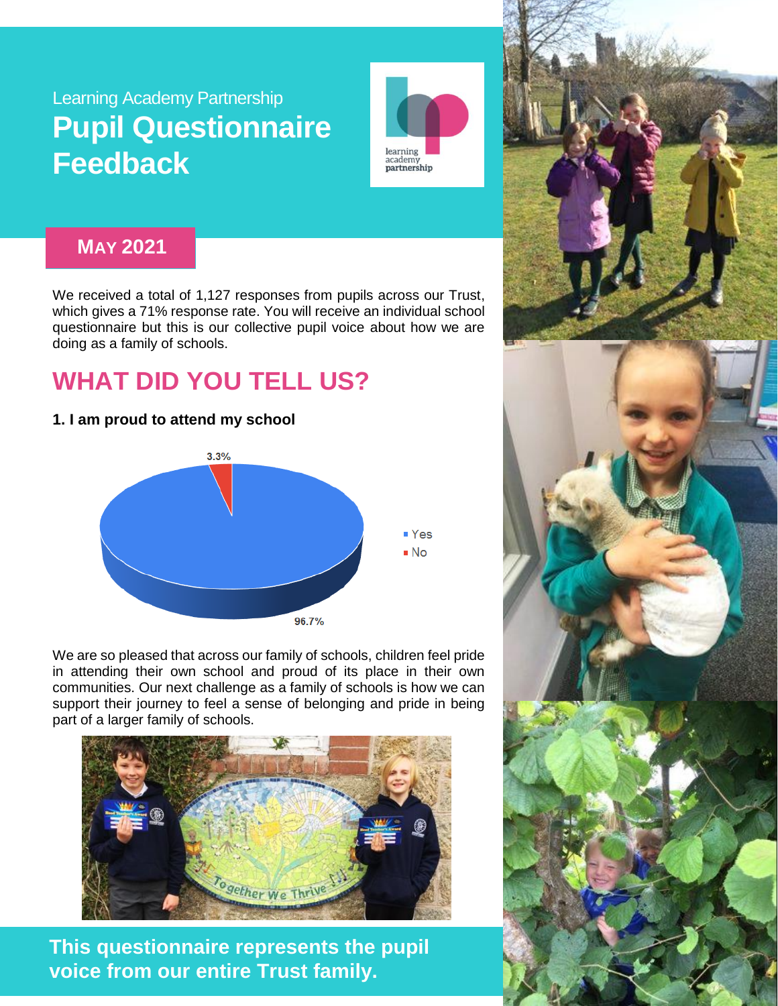## Learning Academy Partnership **Pupil Questionnaire Feedback**



### **MAY 2021**

We received a total of 1,127 responses from pupils across our Trust, which gives a 71% response rate. You will receive an individual school questionnaire but this is our collective pupil voice about how we are doing as a family of schools.

# **WHAT DID YOU TELL US?**

### **1. I am proud to attend my school**



We are so pleased that across our family of schools, children feel pride in attending their own school and proud of its place in their own communities. Our next challenge as a family of schools is how we can support their journey to feel a sense of belonging and pride in being part of a larger family of schools.



**This questionnaire represents the pupil voice from our entire Trust family.** 

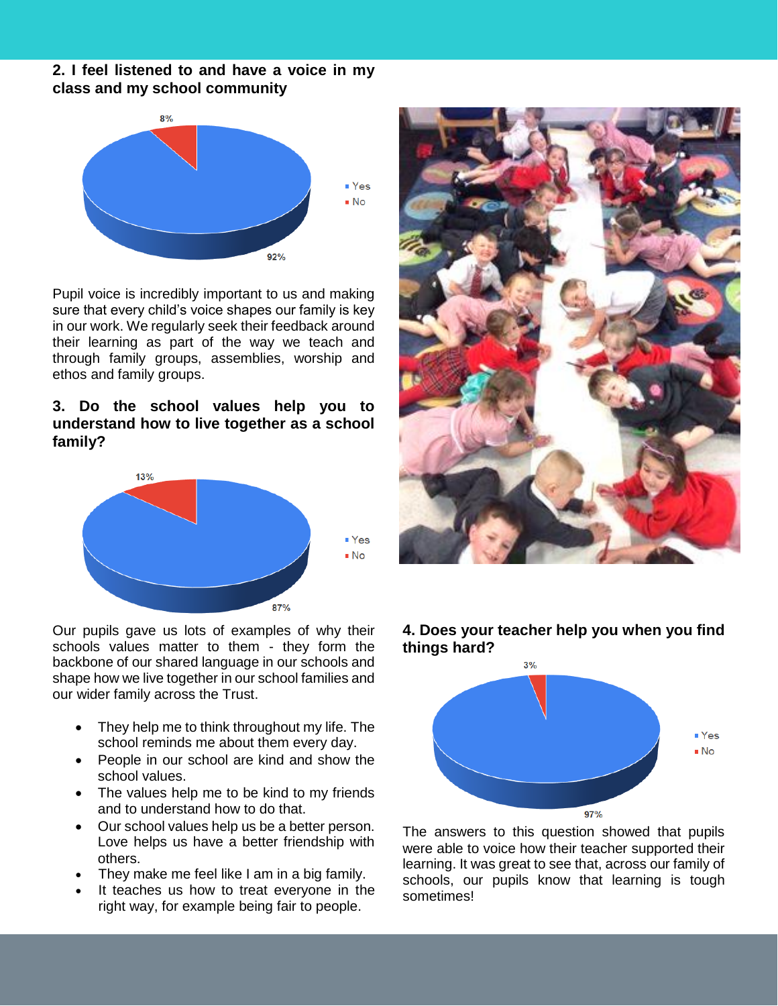#### **2. I feel listened to and have a voice in my class and my school community**



Pupil voice is incredibly important to us and making sure that every child's voice shapes our family is key in our work. We regularly seek their feedback around their learning as part of the way we teach and through family groups, assemblies, worship and ethos and family groups.

#### **3. Do the school values help you to understand how to live together as a school family?**



Our pupils gave us lots of examples of why their schools values matter to them - they form the backbone of our shared language in our schools and shape how we live together in our school families and our wider family across the Trust.

- They help me to think throughout my life. The school reminds me about them every day.
- People in our school are kind and show the school values.
- The values help me to be kind to my friends and to understand how to do that.
- Our school values help us be a better person. Love helps us have a better friendship with others.
- They make me feel like I am in a big family.
- It teaches us how to treat everyone in the right way, for example being fair to people.



#### **4. Does your teacher help you when you find things hard?**



The answers to this question showed that pupils were able to voice how their teacher supported their learning. It was great to see that, across our family of schools, our pupils know that learning is tough sometimes!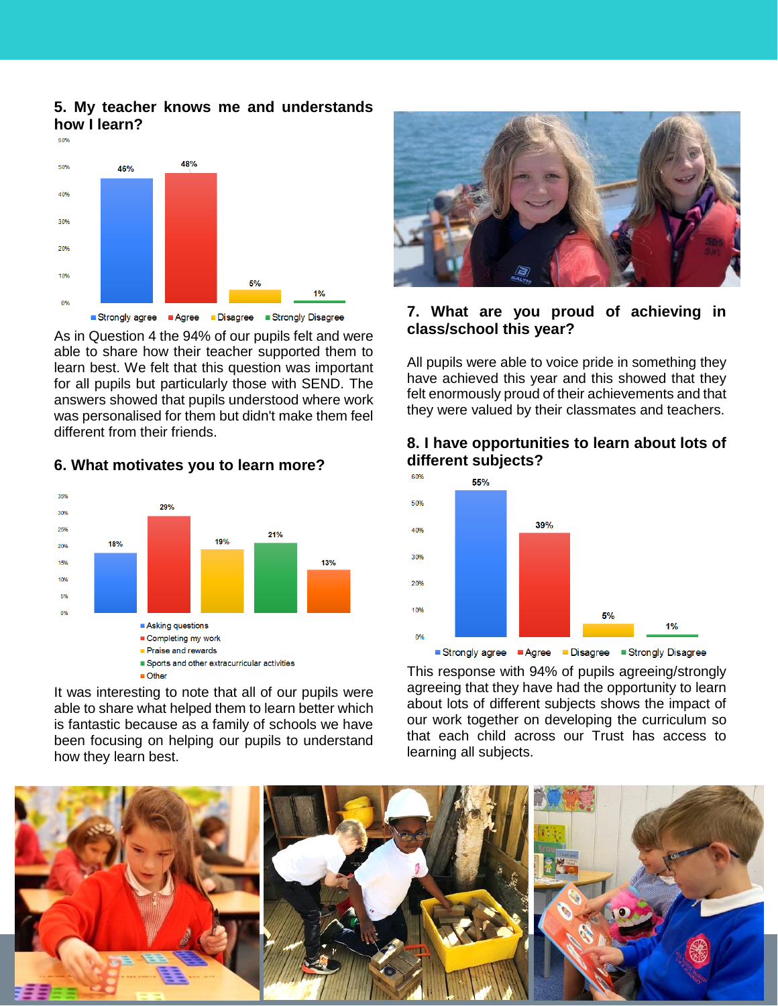#### **5. My teacher knows me and understands how I learn?**



As in Question 4 the 94% of our pupils felt and were able to share how their teacher supported them to learn best. We felt that this question was important for all pupils but particularly those with SEND. The answers showed that pupils understood where work was personalised for them but didn't make them feel different from their friends.



#### **6. What motivates you to learn more?**

It was interesting to note that all of our pupils were able to share what helped them to learn better which is fantastic because as a family of schools we have been focusing on helping our pupils to understand how they learn best.



#### **7. What are you proud of achieving in class/school this year?**

All pupils were able to voice pride in something they have achieved this year and this showed that they felt enormously proud of their achievements and that they were valued by their classmates and teachers.

#### **8. I have opportunities to learn about lots of different subjects?**



This response with 94% of pupils agreeing/strongly agreeing that they have had the opportunity to learn about lots of different subjects shows the impact of our work together on developing the curriculum so that each child across our Trust has access to learning all subjects.

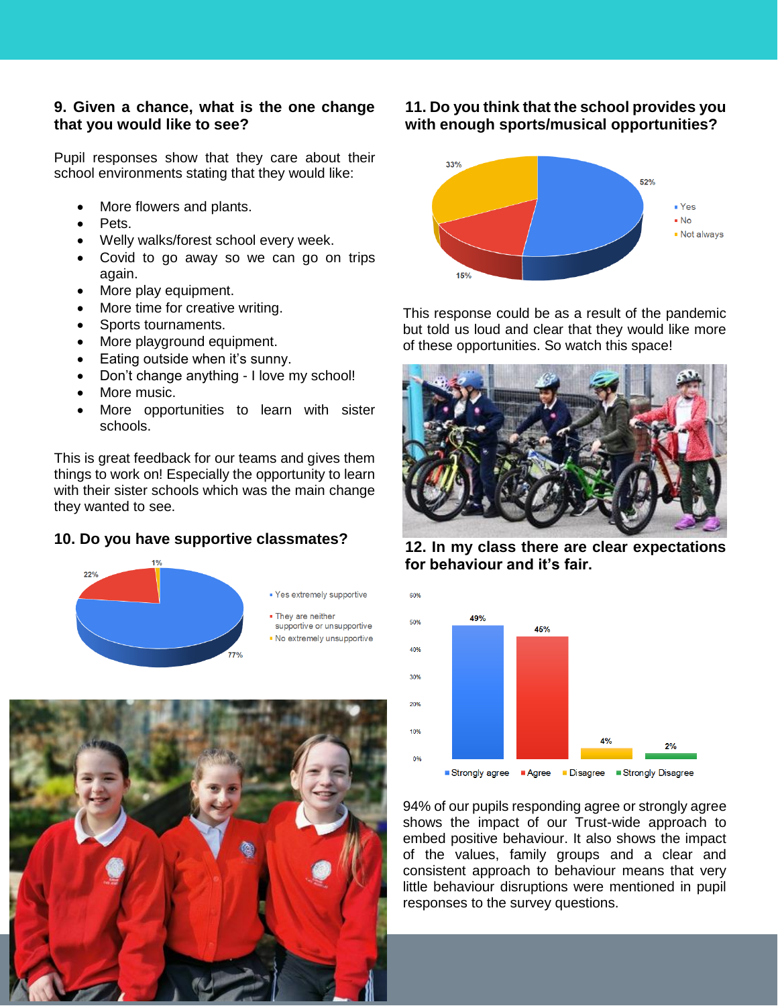#### **9. Given a chance, what is the one change that you would like to see?**

Pupil responses show that they care about their school environments stating that they would like:

- More flowers and plants.
- Pets.
- Welly walks/forest school every week.
- Covid to go away so we can go on trips again.
- More play equipment.
- More time for creative writing.
- Sports tournaments.
- More playground equipment.
- Eating outside when it's sunny.
- Don't change anything I love my school!
- More music.
- More opportunities to learn with sister schools.

This is great feedback for our teams and gives them things to work on! Especially the opportunity to learn with their sister schools which was the main change they wanted to see.

#### **10. Do you have supportive classmates?**





#### **11. Do you think that the school provides you with enough sports/musical opportunities?**



This response could be as a result of the pandemic but told us loud and clear that they would like more of these opportunities. So watch this space!



**12. In my class there are clear expectations for behaviour and it's fair.**



94% of our pupils responding agree or strongly agree shows the impact of our Trust-wide approach to embed positive behaviour. It also shows the impact of the values, family groups and a clear and consistent approach to behaviour means that very little behaviour disruptions were mentioned in pupil responses to the survey questions.